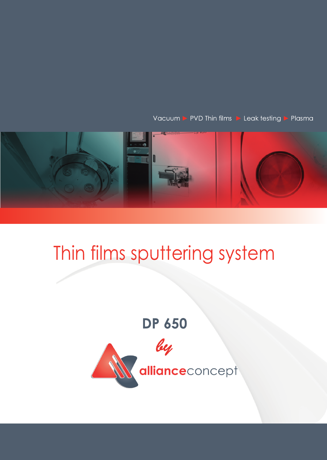Vacuum > PVD Thin films > Leak testing > Plasma



## Thin films sputtering system

## **DP 650**